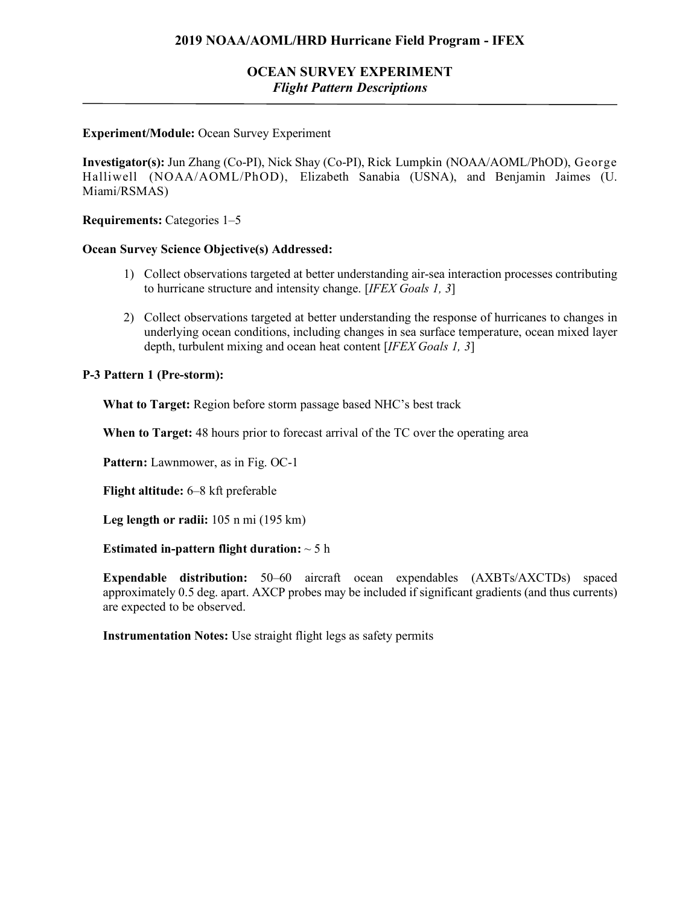# **OCEAN SURVEY EXPERIMENT** *Flight Pattern Descriptions*

### **Experiment/Module:** Ocean Survey Experiment

**Investigator(s):** Jun Zhang (Co-PI), Nick Shay (Co-PI), Rick Lumpkin (NOAA/AOML/PhOD), George Halliwell (NOAA/AOML/PhOD), Elizabeth Sanabia (USNA), and Benjamin Jaimes (U. Miami/RSMAS)

**Requirements:** Categories 1–5

#### **Ocean Survey Science Objective(s) Addressed:**

- 1) Collect observations targeted at better understanding air-sea interaction processes contributing to hurricane structure and intensity change. [*IFEX Goals 1, 3*]
- 2) Collect observations targeted at better understanding the response of hurricanes to changes in underlying ocean conditions, including changes in sea surface temperature, ocean mixed layer depth, turbulent mixing and ocean heat content [*IFEX Goals 1, 3*]

### **P-3 Pattern 1 (Pre-storm):**

**What to Target:** Region before storm passage based NHC's best track

**When to Target:** 48 hours prior to forecast arrival of the TC over the operating area

**Pattern:** Lawnmower, as in Fig. OC-1

**Flight altitude:** 6–8 kft preferable

**Leg length or radii:** 105 n mi (195 km)

#### **Estimated in-pattern flight duration:** ~ 5 h

**Expendable distribution:** 50–60 aircraft ocean expendables (AXBTs/AXCTDs) spaced approximately 0.5 deg. apart. AXCP probes may be included if significant gradients (and thus currents) are expected to be observed.

**Instrumentation Notes:** Use straight flight legs as safety permits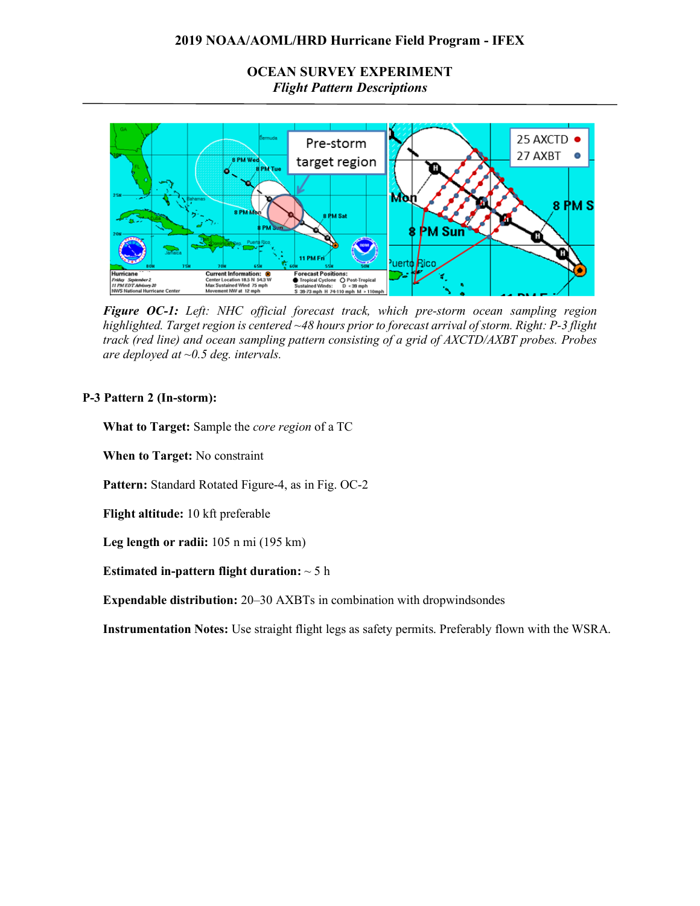# **OCEAN SURVEY EXPERIMENT** *Flight Pattern Descriptions*



*Figure OC-1: Left: NHC official forecast track, which pre-storm ocean sampling region highlighted. Target region is centered ~48 hours prior to forecast arrival of storm. Right: P-3 flight track (red line) and ocean sampling pattern consisting of a grid of AXCTD/AXBT probes. Probes are deployed at ~0.5 deg. intervals.* 

## **P-3 Pattern 2 (In-storm):**

**What to Target:** Sample the *core region* of a TC

**When to Target:** No constraint

**Pattern:** Standard Rotated Figure-4, as in Fig. OC-2

**Flight altitude:** 10 kft preferable

**Leg length or radii:** 105 n mi (195 km)

## **Estimated in-pattern flight duration:** ~ 5 h

**Expendable distribution:** 20–30 AXBTs in combination with dropwindsondes

**Instrumentation Notes:** Use straight flight legs as safety permits. Preferably flown with the WSRA.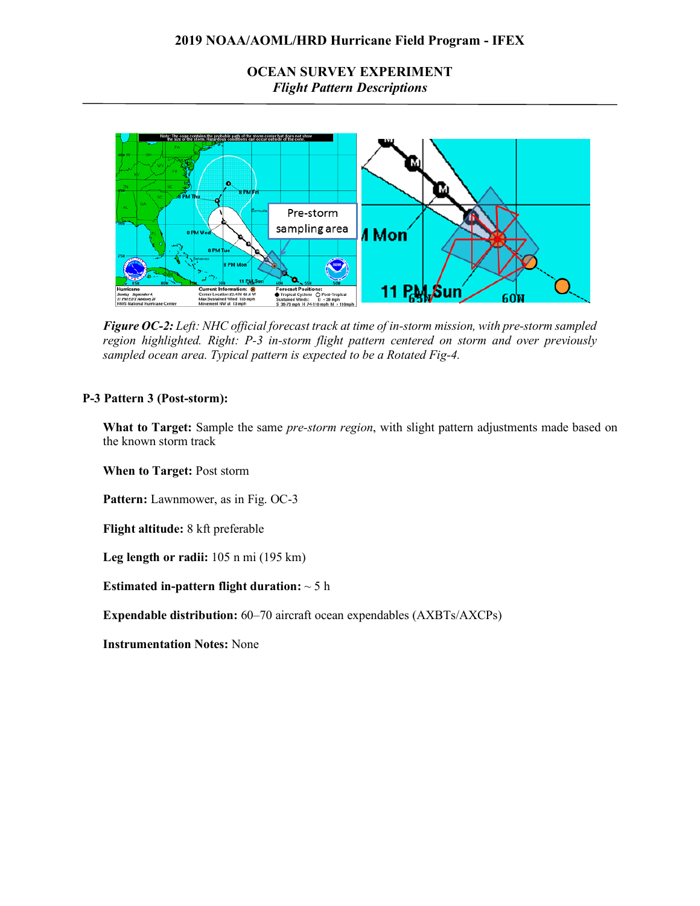**OCEAN SURVEY EXPERIMENT** *Flight Pattern Descriptions*



*Figure OC-2: Left: NHC official forecast track at time of in-storm mission, with pre-storm sampled region highlighted. Right: P-3 in-storm flight pattern centered on storm and over previously sampled ocean area. Typical pattern is expected to be a Rotated Fig-4.*

#### **P-3 Pattern 3 (Post-storm):**

**What to Target:** Sample the same *pre-storm region*, with slight pattern adjustments made based on the known storm track

**When to Target:** Post storm

**Pattern:** Lawnmower, as in Fig. OC-3

**Flight altitude:** 8 kft preferable

**Leg length or radii:** 105 n mi (195 km)

**Estimated in-pattern flight duration:** ~ 5 h

**Expendable distribution:** 60–70 aircraft ocean expendables (AXBTs/AXCPs)

**Instrumentation Notes:** None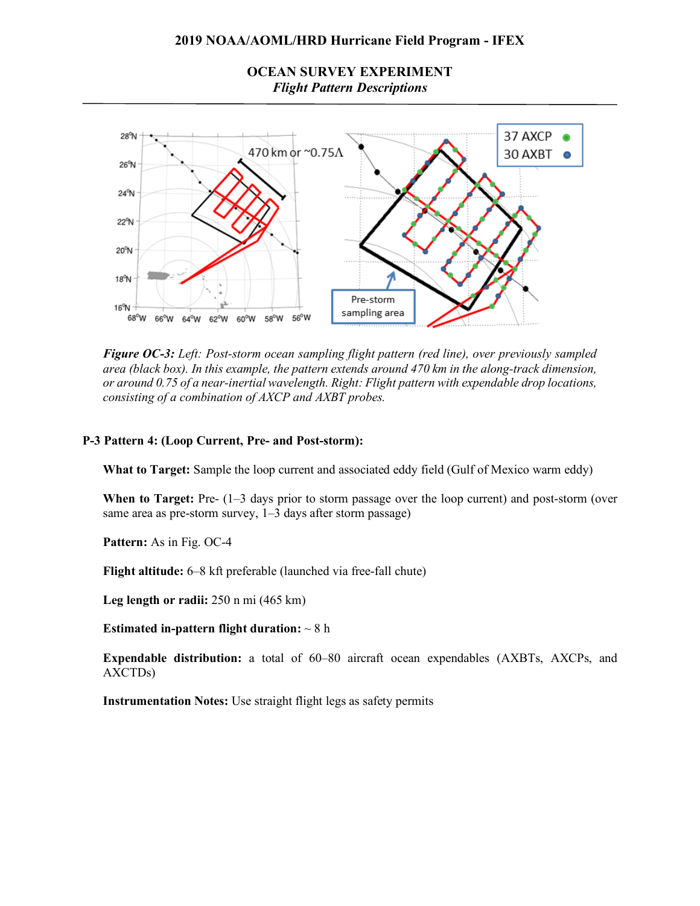**OCEAN SURVEY EXPERIMENT** *Flight Pattern Descriptions*



*Figure OC-3: Left: Post-storm ocean sampling flight pattern (red line), over previously sampled area (black box). In this example, the pattern extends around 470 km in the along-track dimension, or around 0.75 of a near-inertial wavelength. Right: Flight pattern with expendable drop locations, consisting of a combination of AXCP and AXBT probes.*

#### **P-3 Pattern 4: (Loop Current, Pre- and Post-storm):**

**What to Target:** Sample the loop current and associated eddy field (Gulf of Mexico warm eddy)

**When to Target:** Pre- (1–3 days prior to storm passage over the loop current) and post-storm (over same area as pre-storm survey, 1–3 days after storm passage)

**Pattern:** As in Fig. OC-4

**Flight altitude:** 6–8 kft preferable (launched via free-fall chute)

**Leg length or radii:** 250 n mi (465 km)

**Estimated in-pattern flight duration:** ~ 8 h

**Expendable distribution:** a total of 60–80 aircraft ocean expendables (AXBTs, AXCPs, and AXCTDs)

**Instrumentation Notes:** Use straight flight legs as safety permits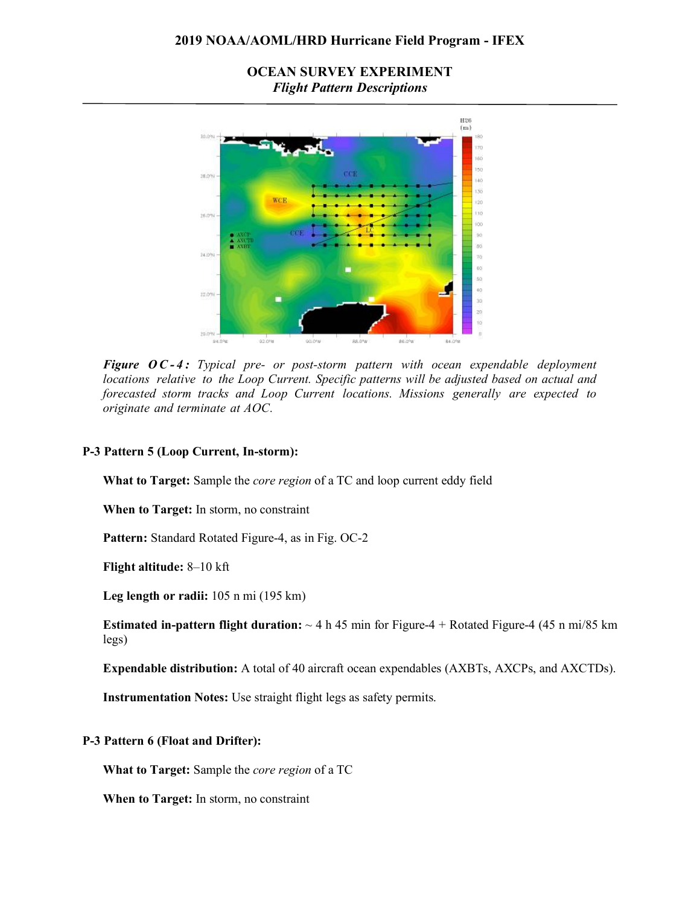# **OCEAN SURVEY EXPERIMENT** *Flight Pattern Descriptions*



*Figure O C - 4 : Typical pre- or post-storm pattern with ocean expendable deployment locations relative to the Loop Current. Specific patterns will be adjusted based on actual and forecasted storm tracks and Loop Current locations. Missions generally are expected to originate and terminate at AOC.*

### **P-3 Pattern 5 (Loop Current, In-storm):**

**What to Target:** Sample the *core region* of a TC and loop current eddy field

**When to Target:** In storm, no constraint

**Pattern:** Standard Rotated Figure-4, as in Fig. OC-2

**Flight altitude:** 8–10 kft

**Leg length or radii:** 105 n mi (195 km)

**Estimated in-pattern flight duration:**  $\sim$  4 h 45 min for Figure-4 + Rotated Figure-4 (45 n mi/85 km) legs)

**Expendable distribution:** A total of 40 aircraft ocean expendables (AXBTs, AXCPs, and AXCTDs).

**Instrumentation Notes:** Use straight flight legs as safety permits.

## **P-3 Pattern 6 (Float and Drifter):**

**What to Target:** Sample the *core region* of a TC

**When to Target:** In storm, no constraint